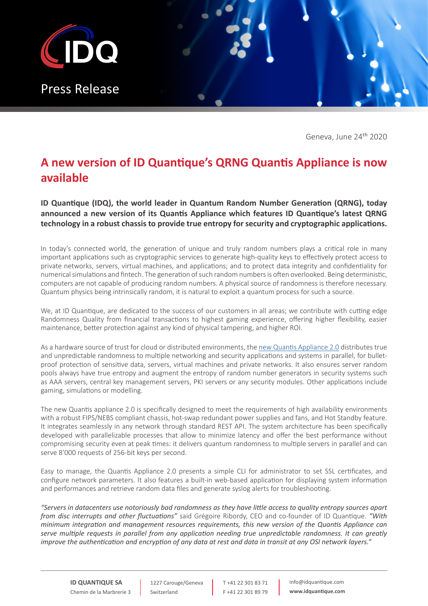

Geneva, June 24<sup>th</sup> 2020

## **A new version of ID Quantique's QRNG Quantis Appliance is now available**

**ID Quantique (IDQ), the world leader in Quantum Random Number Generation (QRNG), today announced a new version of its Quantis Appliance which features ID Quantique's latest QRNG technology in a robust chassis to provide true entropy for security and cryptographic applications.**

In today's connected world, the generation of unique and truly random numbers plays a critical role in many important applications such as cryptographic services to generate high-quality keys to effectively protect access to private networks, servers, virtual machines, and applications; and to protect data integrity and confidentiality for numerical simulations and fintech. The generation of such random numbers is often overlooked. Being deterministic, computers are not capable of producing random numbers. A physical source of randomness is therefore necessary. Quantum physics being intrinsically random, it is natural to exploit a quantum process for such a source.

We, at ID Quantique, are dedicated to the success of our customers in all areas; we contribute with cutting edge Randomness Quality from financial transactions to highest gaming experience, offering higher flexibility, easier maintenance, better protection against any kind of physical tampering, and higher ROI.

As a hardware source of trust for cloud or distributed environments, the [new Quantis Appliance 2.0](https://www.idquantique.com/random-number-generation/products/quantis-rng-appliance/) distributes true and unpredictable randomness to multiple networking and security applications and systems in parallel, for bulletproof protection of sensitive data, servers, virtual machines and private networks. It also ensures server random pools always have true entropy and augment the entropy of random number generators in security systems such as AAA servers, central key management servers, PKI servers or any security modules. Other applications include gaming, simulations or modelling.

The new Quantis appliance 2.0 is specifically designed to meet the requirements of high availability environments with a robust FIPS/NEBS compliant chassis, hot-swap redundant power supplies and fans, and Hot Standby feature. It integrates seamlessly in any network through standard REST API. The system architecture has been specifically developed with parallelizable processes that allow to minimize latency and offer the best performance without compromising security even at peak times: it delivers quantum randomness to multiple servers in parallel and can serve 8'000 requests of 256-bit keys per second.

Easy to manage, the Quantis Appliance 2.0 presents a simple CLI for administrator to set SSL certificates, and configure network parameters. It also features a built-in web-based application for displaying system information and performances and retrieve random data files and generate syslog alerts for troubleshooting.

*"Servers in datacenters use notoriously bad randomness as they have little access to quality entropy sources apart from disc interrupts and other fluctuations"* said Grégoire Ribordy, CEO and co-founder of ID Quantique. *"With minimum integration and management resources requirements, this new version of the Quantis Appliance can serve multiple requests in parallel from any application needing true unpredictable randomness. It can greatly improve the authentication and encryption of any data at rest and data in transit at any OSI network layers."*

1227 Carouge/Geneva Switzerland

T +41 22 301 83 71 F +41 22 301 89 79 info@idquantique.com **www.idquantique.com**